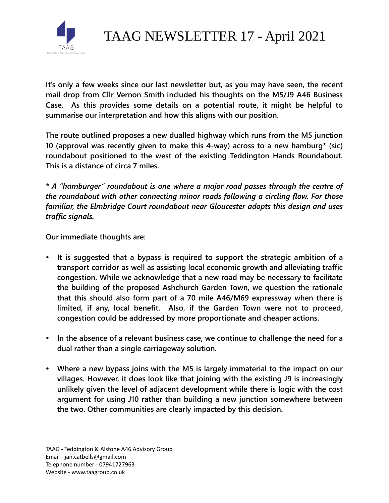

TAAG NEWSLETTER 17 - April 2021

**It's only a few weeks since our last newsletter but, as you may have seen, the recent mail drop from Cllr Vernon Smith included his thoughts on the M5/J9 A46 Business Case. As this provides some details on a potential route, it might be helpful to summarise our interpretation and how this aligns with our position.**

**The route outlined proposes a new dualled highway which runs from the M5 junction 10 (approval was recently given to make this 4-way) across to a new hamburg\* (sic) roundabout positioned to the west of the existing Teddington Hands Roundabout. This is a distance of circa 7 miles.** 

*\* A "hamburger" roundabout is one where a major road passes through the centre of the roundabout with other connecting minor roads following a circling flow. For those familiar, the Elmbridge Court roundabout near Gloucester adopts this design and uses traffic signals.* 

**Our immediate thoughts are:**

- **It is suggested that a bypass is required to support the strategic ambition of a transport corridor as well as assisting local economic growth and alleviating traffic congestion. While we acknowledge that a new road may be necessary to facilitate the building of the proposed Ashchurch Garden Town, we question the rationale that this should also form part of a 70 mile A46/M69 expressway when there is limited, if any, local benefit. Also, if the Garden Town were not to proceed, congestion could be addressed by more proportionate and cheaper actions.**
- **In the absence of a relevant business case, we continue to challenge the need for a dual rather than a single carriageway solution.**
- **Where a new bypass joins with the M5 is largely immaterial to the impact on our villages. However, it does look like that joining with the existing J9 is increasingly unlikely given the level of adjacent development while there is logic with the cost argument for using J10 rather than building a new junction somewhere between the two. Other communities are clearly impacted by this decision.**